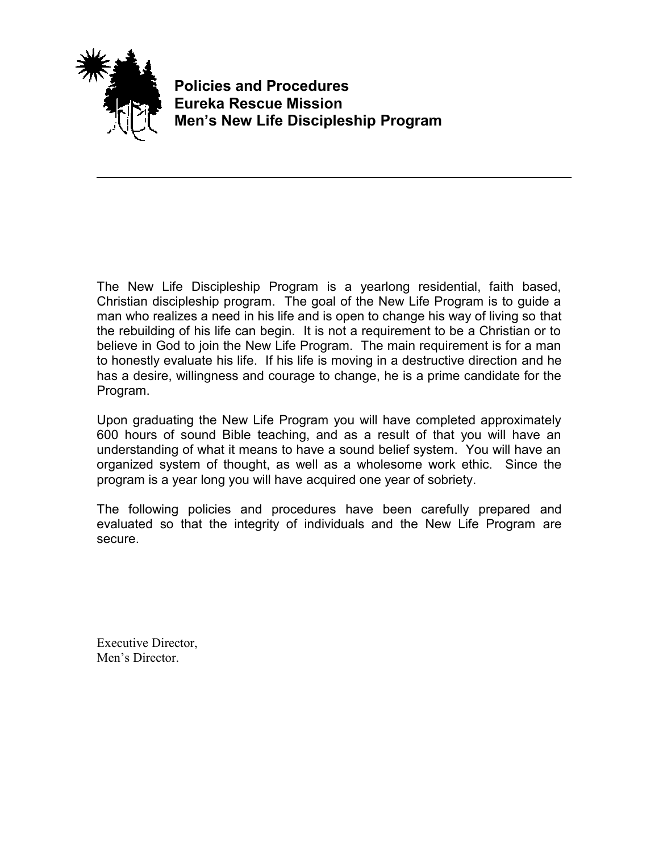

**Policies and Procedures Eureka Rescue Mission Men's New Life Discipleship Program**

The New Life Discipleship Program is a yearlong residential, faith based, Christian discipleship program. The goal of the New Life Program is to guide a man who realizes a need in his life and is open to change his way of living so that the rebuilding of his life can begin. It is not a requirement to be a Christian or to believe in God to join the New Life Program. The main requirement is for a man to honestly evaluate his life. If his life is moving in a destructive direction and he has a desire, willingness and courage to change, he is a prime candidate for the Program.

Upon graduating the New Life Program you will have completed approximately 600 hours of sound Bible teaching, and as a result of that you will have an understanding of what it means to have a sound belief system. You will have an organized system of thought, as well as a wholesome work ethic. Since the program is a year long you will have acquired one year of sobriety.

The following policies and procedures have been carefully prepared and evaluated so that the integrity of individuals and the New Life Program are secure.

Executive Director, Men's Director.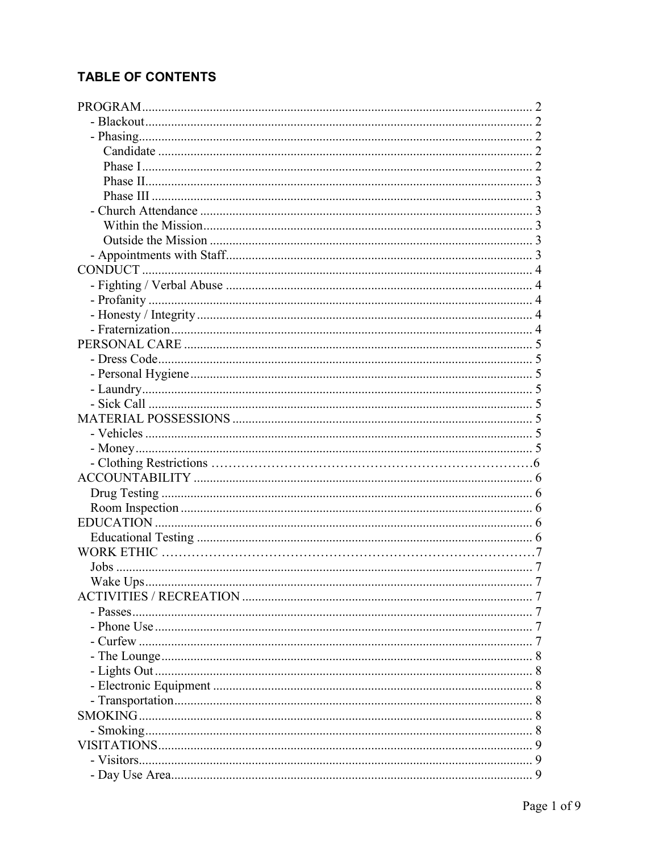# **TABLE OF CONTENTS**

| $\frac{1}{2}$ |
|---------------|
|               |
|               |
|               |
|               |
|               |
|               |
|               |
|               |
|               |
|               |
|               |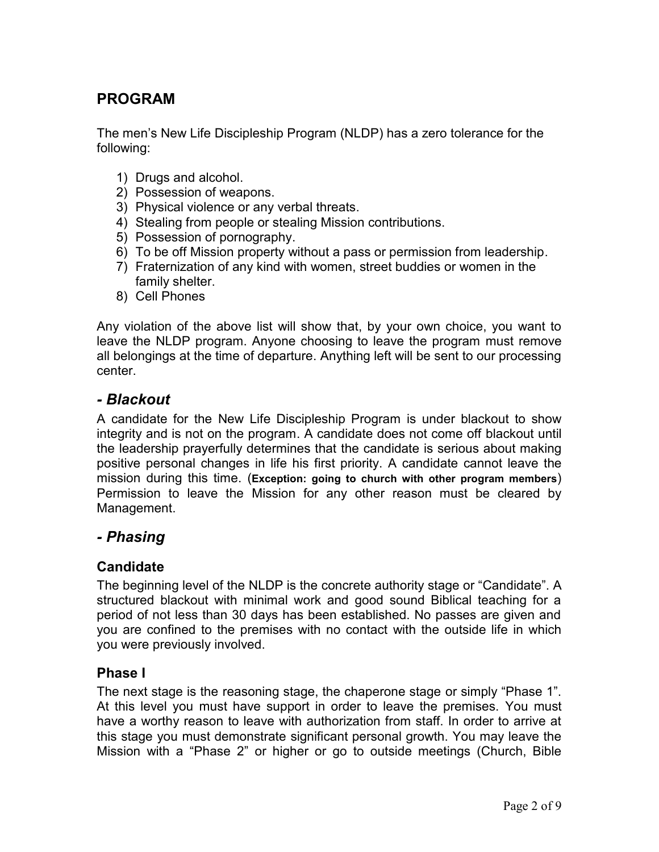# **PROGRAM**

The men's New Life Discipleship Program (NLDP) has a zero tolerance for the following:

- 1) Drugs and alcohol.
- 2) Possession of weapons.
- 3) Physical violence or any verbal threats.
- 4) Stealing from people or stealing Mission contributions.
- 5) Possession of pornography.
- 6) To be off Mission property without a pass or permission from leadership.
- 7) Fraternization of any kind with women, street buddies or women in the family shelter.
- 8) Cell Phones

Any violation of the above list will show that, by your own choice, you want to leave the NLDP program. Anyone choosing to leave the program must remove all belongings at the time of departure. Anything left will be sent to our processing center.

### *- Blackout*

A candidate for the New Life Discipleship Program is under blackout to show integrity and is not on the program. A candidate does not come off blackout until the leadership prayerfully determines that the candidate is serious about making positive personal changes in life his first priority. A candidate cannot leave the mission during this time. (**Exception: going to church with other program members**) Permission to leave the Mission for any other reason must be cleared by Management.

## *- Phasing*

### **Candidate**

The beginning level of the NLDP is the concrete authority stage or "Candidate". A structured blackout with minimal work and good sound Biblical teaching for a period of not less than 30 days has been established. No passes are given and you are confined to the premises with no contact with the outside life in which you were previously involved.

### **Phase I**

The next stage is the reasoning stage, the chaperone stage or simply "Phase 1". At this level you must have support in order to leave the premises. You must have a worthy reason to leave with authorization from staff. In order to arrive at this stage you must demonstrate significant personal growth. You may leave the Mission with a "Phase 2" or higher or go to outside meetings (Church, Bible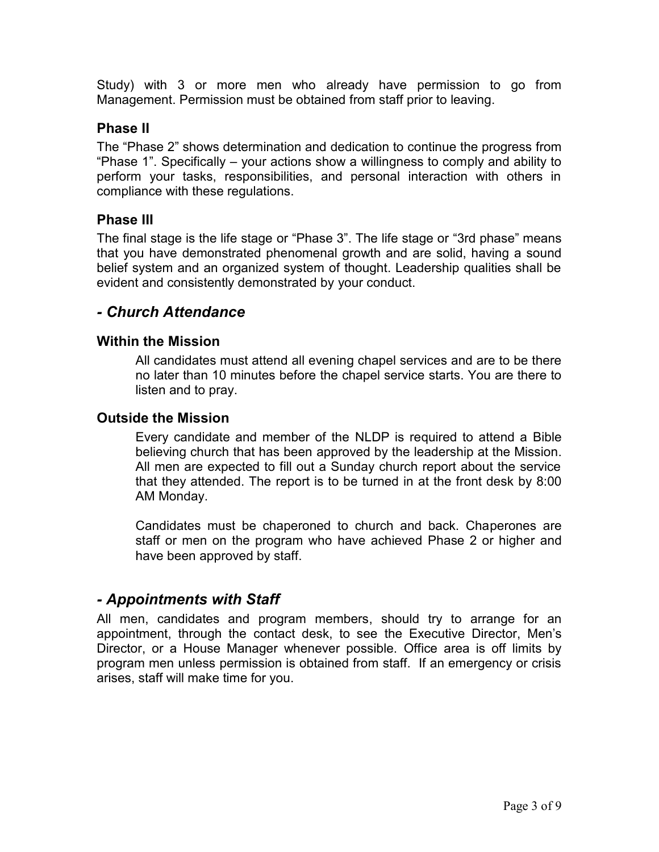Study) with 3 or more men who already have permission to go from Management. Permission must be obtained from staff prior to leaving.

### **Phase II**

The "Phase 2" shows determination and dedication to continue the progress from "Phase 1". Specifically – your actions show a willingness to comply and ability to perform your tasks, responsibilities, and personal interaction with others in compliance with these regulations.

### **Phase III**

The final stage is the life stage or "Phase 3". The life stage or "3rd phase" means that you have demonstrated phenomenal growth and are solid, having a sound belief system and an organized system of thought. Leadership qualities shall be evident and consistently demonstrated by your conduct.

## *- Church Attendance*

#### **Within the Mission**

All candidates must attend all evening chapel services and are to be there no later than 10 minutes before the chapel service starts. You are there to listen and to pray.

#### **Outside the Mission**

Every candidate and member of the NLDP is required to attend a Bible believing church that has been approved by the leadership at the Mission. All men are expected to fill out a Sunday church report about the service that they attended. The report is to be turned in at the front desk by 8:00 AM Monday.

Candidates must be chaperoned to church and back. Chaperones are staff or men on the program who have achieved Phase 2 or higher and have been approved by staff.

### *- Appointments with Staff*

All men, candidates and program members, should try to arrange for an appointment, through the contact desk, to see the Executive Director, Men's Director, or a House Manager whenever possible. Office area is off limits by program men unless permission is obtained from staff. If an emergency or crisis arises, staff will make time for you.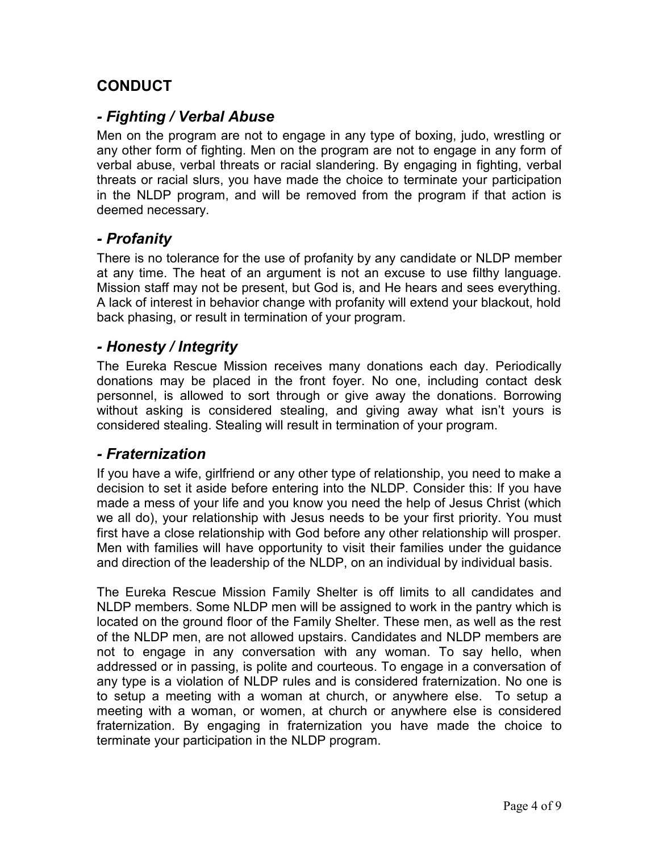# **CONDUCT**

## *- Fighting / Verbal Abuse*

Men on the program are not to engage in any type of boxing, judo, wrestling or any other form of fighting. Men on the program are not to engage in any form of verbal abuse, verbal threats or racial slandering. By engaging in fighting, verbal threats or racial slurs, you have made the choice to terminate your participation in the NLDP program, and will be removed from the program if that action is deemed necessary.

### *- Profanity*

There is no tolerance for the use of profanity by any candidate or NLDP member at any time. The heat of an argument is not an excuse to use filthy language. Mission staff may not be present, but God is, and He hears and sees everything. A lack of interest in behavior change with profanity will extend your blackout, hold back phasing, or result in termination of your program.

## *- Honesty / Integrity*

The Eureka Rescue Mission receives many donations each day. Periodically donations may be placed in the front foyer. No one, including contact desk personnel, is allowed to sort through or give away the donations. Borrowing without asking is considered stealing, and giving away what isn't yours is considered stealing. Stealing will result in termination of your program.

### *- Fraternization*

If you have a wife, girlfriend or any other type of relationship, you need to make a decision to set it aside before entering into the NLDP. Consider this: If you have made a mess of your life and you know you need the help of Jesus Christ (which we all do), your relationship with Jesus needs to be your first priority. You must first have a close relationship with God before any other relationship will prosper. Men with families will have opportunity to visit their families under the guidance and direction of the leadership of the NLDP, on an individual by individual basis.

The Eureka Rescue Mission Family Shelter is off limits to all candidates and NLDP members. Some NLDP men will be assigned to work in the pantry which is located on the ground floor of the Family Shelter. These men, as well as the rest of the NLDP men, are not allowed upstairs. Candidates and NLDP members are not to engage in any conversation with any woman. To say hello, when addressed or in passing, is polite and courteous. To engage in a conversation of any type is a violation of NLDP rules and is considered fraternization. No one is to setup a meeting with a woman at church, or anywhere else. To setup a meeting with a woman, or women, at church or anywhere else is considered fraternization. By engaging in fraternization you have made the choice to terminate your participation in the NLDP program.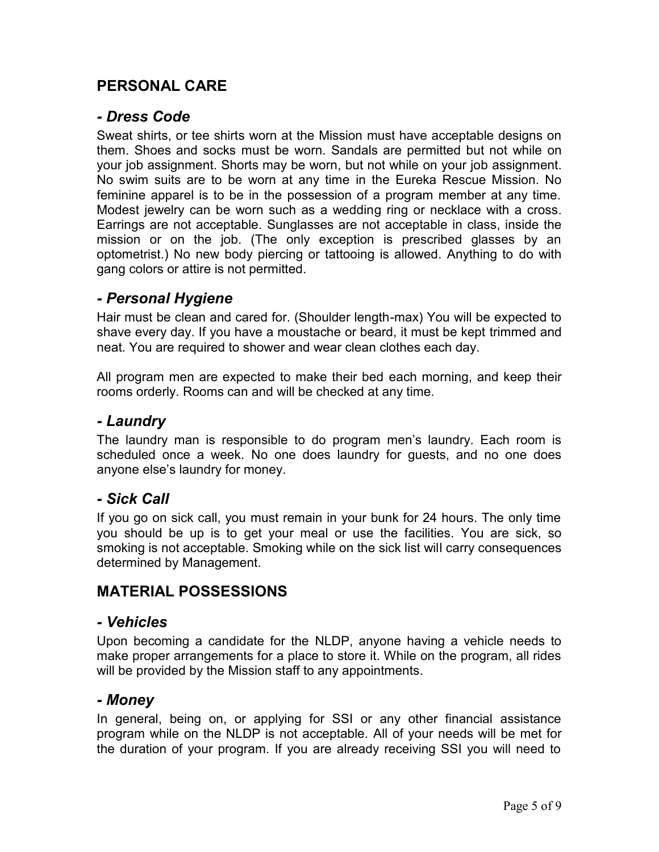# **PERSONAL CARE**

### *- Dress Code*

Sweat shirts, or tee shirts worn at the Mission must have acceptable designs on them. Shoes and socks must be worn. Sandals are permitted but not while on your job assignment. Shorts may be worn, but not while on your job assignment. No swim suits are to be worn at any time in the Eureka Rescue Mission. No feminine apparel is to be in the possession of a program member at any time. Modest jewelry can be worn such as a wedding ring or necklace with a cross. Earrings are not acceptable. Sunglasses are not acceptable in class, inside the mission or on the job. (The only exception is prescribed glasses by an optometrist.) No new body piercing or tattooing is allowed. Anything to do with gang colors or attire is not permitted.

### *- Personal Hygiene*

Hair must be clean and cared for. (Shoulder length-max) You will be expected to shave every day. If you have a moustache or beard, it must be kept trimmed and neat. You are required to shower and wear clean clothes each day.

All program men are expected to make their bed each morning, and keep their rooms orderly. Rooms can and will be checked at any time.

## *- Laundry*

The laundry man is responsible to do program men's laundry. Each room is scheduled once a week. No one does laundry for guests, and no one does anyone else's laundry for money.

### *- Sick Call*

If you go on sick call, you must remain in your bunk for 24 hours. The only time you should be up is to get your meal or use the facilities. You are sick, so smoking is not acceptable. Smoking while on the sick list will carry consequences determined by Management.

## **MATERIAL POSSESSIONS**

### *- Vehicles*

Upon becoming a candidate for the NLDP, anyone having a vehicle needs to make proper arrangements for a place to store it. While on the program, all rides will be provided by the Mission staff to any appointments.

### *- Money*

In general, being on, or applying for SSI or any other financial assistance program while on the NLDP is not acceptable. All of your needs will be met for the duration of your program. If you are already receiving SSI you will need to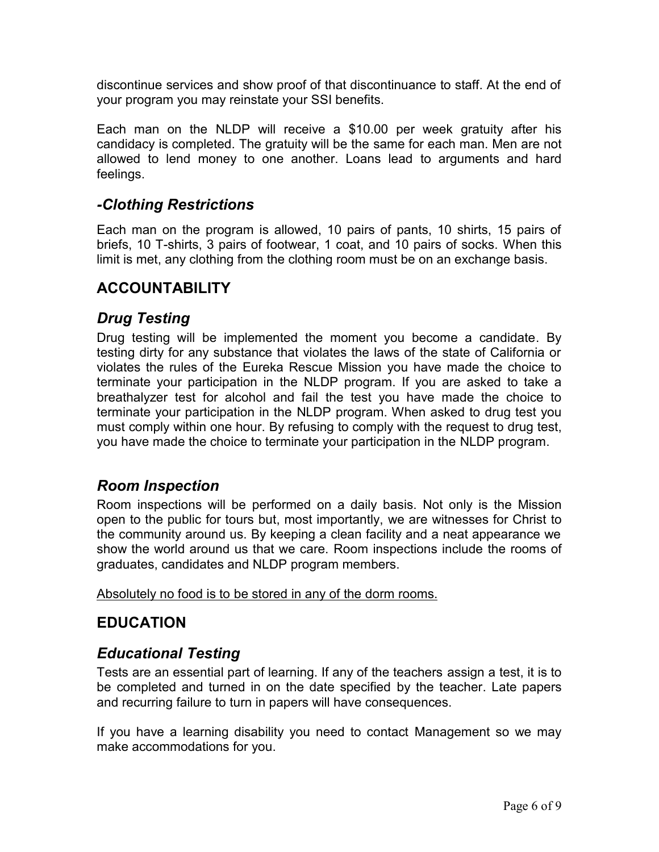discontinue services and show proof of that discontinuance to staff. At the end of your program you may reinstate your SSI benefits.

Each man on the NLDP will receive a \$10.00 per week gratuity after his candidacy is completed. The gratuity will be the same for each man. Men are not allowed to lend money to one another. Loans lead to arguments and hard feelings.

# *-Clothing Restrictions*

Each man on the program is allowed, 10 pairs of pants, 10 shirts, 15 pairs of briefs, 10 T-shirts, 3 pairs of footwear, 1 coat, and 10 pairs of socks. When this limit is met, any clothing from the clothing room must be on an exchange basis.

# **ACCOUNTABILITY**

# *Drug Testing*

Drug testing will be implemented the moment you become a candidate. By testing dirty for any substance that violates the laws of the state of California or violates the rules of the Eureka Rescue Mission you have made the choice to terminate your participation in the NLDP program. If you are asked to take a breathalyzer test for alcohol and fail the test you have made the choice to terminate your participation in the NLDP program. When asked to drug test you must comply within one hour. By refusing to comply with the request to drug test, you have made the choice to terminate your participation in the NLDP program.

## *Room Inspection*

Room inspections will be performed on a daily basis. Not only is the Mission open to the public for tours but, most importantly, we are witnesses for Christ to the community around us. By keeping a clean facility and a neat appearance we show the world around us that we care. Room inspections include the rooms of graduates, candidates and NLDP program members.

Absolutely no food is to be stored in any of the dorm rooms.

# **EDUCATION**

# *Educational Testing*

Tests are an essential part of learning. If any of the teachers assign a test, it is to be completed and turned in on the date specified by the teacher. Late papers and recurring failure to turn in papers will have consequences.

If you have a learning disability you need to contact Management so we may make accommodations for you.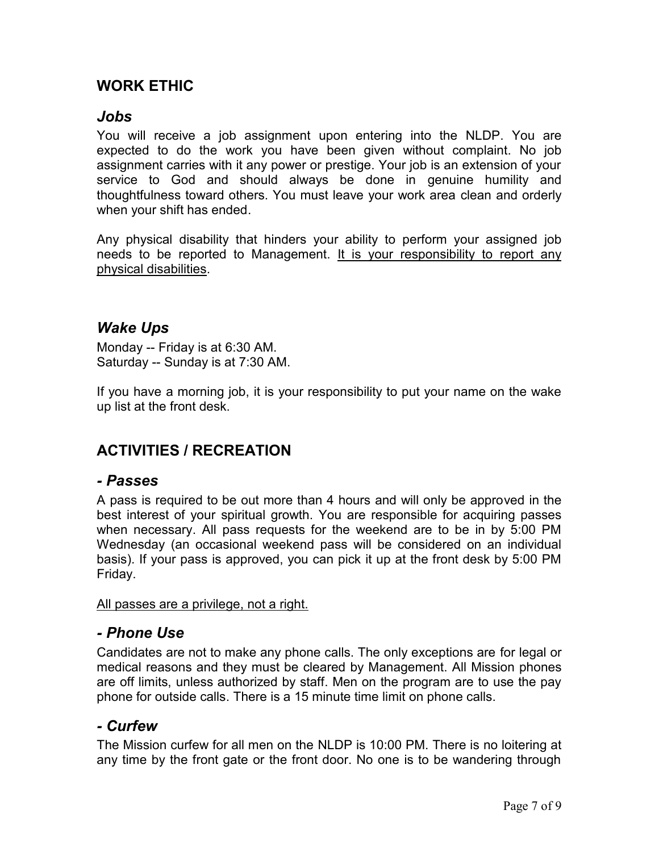# **WORK ETHIC**

### *Jobs*

You will receive a job assignment upon entering into the NLDP. You are expected to do the work you have been given without complaint. No job assignment carries with it any power or prestige. Your job is an extension of your service to God and should always be done in genuine humility and thoughtfulness toward others. You must leave your work area clean and orderly when your shift has ended.

Any physical disability that hinders your ability to perform your assigned job needs to be reported to Management. It is your responsibility to report any physical disabilities.

## *Wake Ups*

Monday -- Friday is at 6:30 AM. Saturday -- Sunday is at 7:30 AM.

If you have a morning job, it is your responsibility to put your name on the wake up list at the front desk.

# **ACTIVITIES / RECREATION**

### *- Passes*

A pass is required to be out more than 4 hours and will only be approved in the best interest of your spiritual growth. You are responsible for acquiring passes when necessary. All pass requests for the weekend are to be in by 5:00 PM Wednesday (an occasional weekend pass will be considered on an individual basis). If your pass is approved, you can pick it up at the front desk by 5:00 PM Friday.

All passes are a privilege, not a right.

### *- Phone Use*

Candidates are not to make any phone calls. The only exceptions are for legal or medical reasons and they must be cleared by Management. All Mission phones are off limits, unless authorized by staff. Men on the program are to use the pay phone for outside calls. There is a 15 minute time limit on phone calls.

### *- Curfew*

The Mission curfew for all men on the NLDP is 10:00 PM. There is no loitering at any time by the front gate or the front door. No one is to be wandering through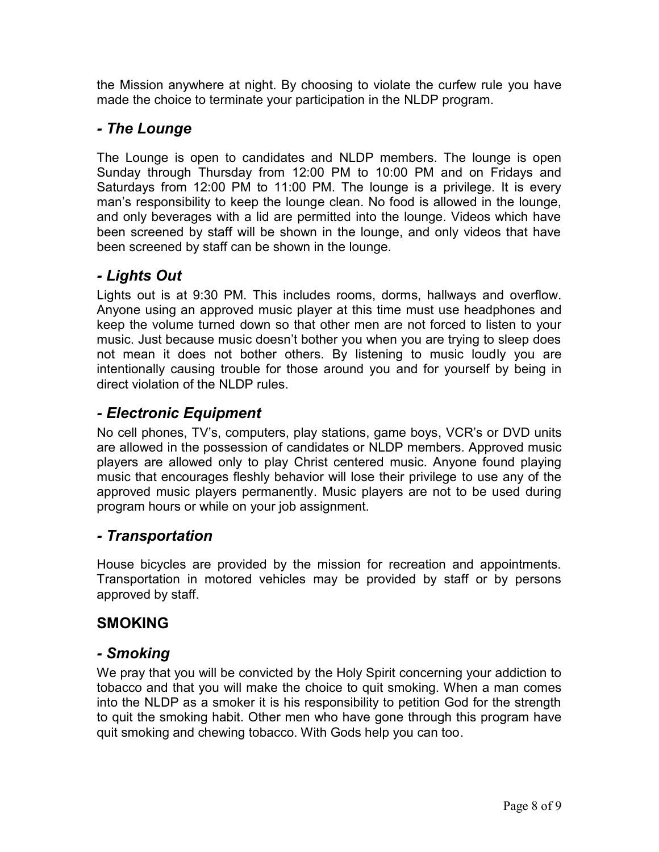the Mission anywhere at night. By choosing to violate the curfew rule you have made the choice to terminate your participation in the NLDP program.

# *- The Lounge*

The Lounge is open to candidates and NLDP members. The lounge is open Sunday through Thursday from 12:00 PM to 10:00 PM and on Fridays and Saturdays from 12:00 PM to 11:00 PM. The lounge is a privilege. It is every man's responsibility to keep the lounge clean. No food is allowed in the lounge, and only beverages with a lid are permitted into the lounge. Videos which have been screened by staff will be shown in the lounge, and only videos that have been screened by staff can be shown in the lounge.

# *- Lights Out*

Lights out is at 9:30 PM. This includes rooms, dorms, hallways and overflow. Anyone using an approved music player at this time must use headphones and keep the volume turned down so that other men are not forced to listen to your music. Just because music doesn't bother you when you are trying to sleep does not mean it does not bother others. By listening to music loudly you are intentionally causing trouble for those around you and for yourself by being in direct violation of the NLDP rules.

# *- Electronic Equipment*

No cell phones, TV's, computers, play stations, game boys, VCR's or DVD units are allowed in the possession of candidates or NLDP members. Approved music players are allowed only to play Christ centered music. Anyone found playing music that encourages fleshly behavior will lose their privilege to use any of the approved music players permanently. Music players are not to be used during program hours or while on your job assignment.

# *- Transportation*

House bicycles are provided by the mission for recreation and appointments. Transportation in motored vehicles may be provided by staff or by persons approved by staff.

# **SMOKING**

## *- Smoking*

We pray that you will be convicted by the Holy Spirit concerning your addiction to tobacco and that you will make the choice to quit smoking. When a man comes into the NLDP as a smoker it is his responsibility to petition God for the strength to quit the smoking habit. Other men who have gone through this program have quit smoking and chewing tobacco. With Gods help you can too.